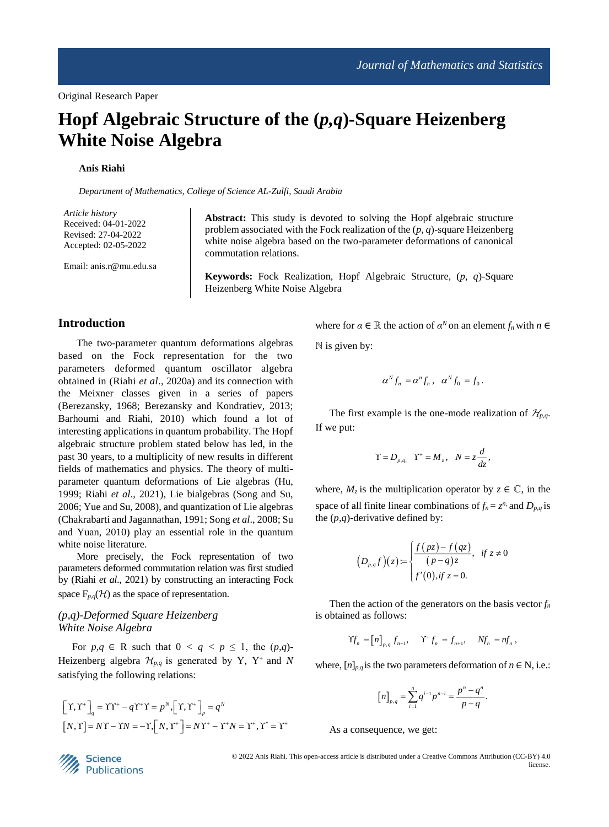# **Hopf Algebraic Structure of the (***p,q***)-Square Heizenberg White Noise Algebra**

# **Anis Riahi**

*Department of Mathematics, College of Science AL-Zulfi, Saudi Arabia*

*Article history* Received: 04-01-2022 Revised: 27-04-2022 Accepted: 02-05-2022

Email: anis.r@mu.edu.sa

**Abstract:** This study is devoted to solving the Hopf algebraic structure problem associated with the Fock realization of the (*p, q*)-square Heizenberg white noise algebra based on the two-parameter deformations of canonical commutation relations.

**Keywords:** Fock Realization, Hopf Algebraic Structure, (*p, q*)-Square Heizenberg White Noise Algebra

# **Introduction**

The two-parameter quantum deformations algebras based on the Fock representation for the two parameters deformed quantum oscillator algebra obtained in (Riahi *et al*., 2020a) and its connection with the Meixner classes given in a series of papers (Berezansky, 1968; Berezansky and Kondratiev, 2013; Barhoumi and Riahi, 2010) which found a lot of interesting applications in quantum probability. The Hopf algebraic structure problem stated below has led, in the past 30 years, to a multiplicity of new results in different fields of mathematics and physics. The theory of multiparameter quantum deformations of Lie algebras (Hu, 1999; Riahi *et al*., 2021), Lie bialgebras (Song and Su, 2006; Yue and Su, 2008), and quantization of Lie algebras (Chakrabarti and Jagannathan, 1991; Song *et al*., 2008; Su and Yuan, 2010) play an essential role in the quantum white noise literature.

More precisely, the Fock representation of two parameters deformed commutation relation was first studied by (Riahi *et al*., 2021) by constructing an interacting Fock space  $F_{p,q}(\mathcal{H})$  as the space of representation.

# *(p,q)-Deformed Square Heizenberg White Noise Algebra*

For  $p,q \in \mathbb{R}$  such that  $0 < q < p \leq 1$ , the  $(p,q)$ -Heizenberg algebra  $\mathcal{H}_{p,q}$  is generated by Y, Y<sup>+</sup> and *N* satisfying the following relations:

$$
\begin{aligned} \left[\Upsilon, \Upsilon^+\right]_q &= \Upsilon \Upsilon^+ - q \Upsilon^+ \Upsilon = p^N, \left[\Upsilon, \Upsilon^+\right]_p = q^N\\ \left[N, \Upsilon\right] &= N \Upsilon - \Upsilon N = -\Upsilon, \left[N, \Upsilon^+\right] = N \Upsilon^+ - \Upsilon^+ N = \Upsilon^+, \Upsilon^* = \Upsilon^+ \end{aligned}
$$

where for  $\alpha \in \mathbb{R}$  the action of  $\alpha^N$  on an element  $f_n$  with  $n \in$  $N$  is given by:

$$
\alpha^N f_n = \alpha^n f_n, \quad \alpha^N f_0 = f_0.
$$

The first example is the one-mode realization of  $\mathcal{H}_{p,q}$ . If we put:

$$
\Upsilon = D_{p,q}, \quad \Upsilon^+ = M_z, \quad N = z \frac{d}{dz},
$$

where,  $M_z$  is the multiplication operator by  $z \in \mathbb{C}$ , in the space of all finite linear combinations of  $f_n = z^n$ , and  $D_{p,q}$  is the (*p,q*)-derivative defined by:

$$
(D_{p,q}f)(z) := \begin{cases} \frac{f(pz) - f(qz)}{(p-q)z}, & \text{if } z \neq 0\\ f'(0), & \text{if } z = 0. \end{cases}
$$

Then the action of the generators on the basis vector  $f_n$ is obtained as follows:

$$
\Upsilon f_n = [n]_{p,q} f_{n-1}, \quad \Upsilon^+ f_n = f_{n+1}, \quad Nf_n = nf_n,
$$

where,  $[n]_{p,q}$  is the two parameters deformation of  $n \in \mathbb{N}$ , i.e.:

$$
[n]_{p,q} = \sum_{i=1}^{n} q^{i-1} p^{n-i} = \frac{p^n - q^n}{p - q}
$$

As a consequence, we get:



 © 2022 Anis Riahi. This open-access article is distributed under a Creative Commons Attribution (CC-BY) 4.0 license.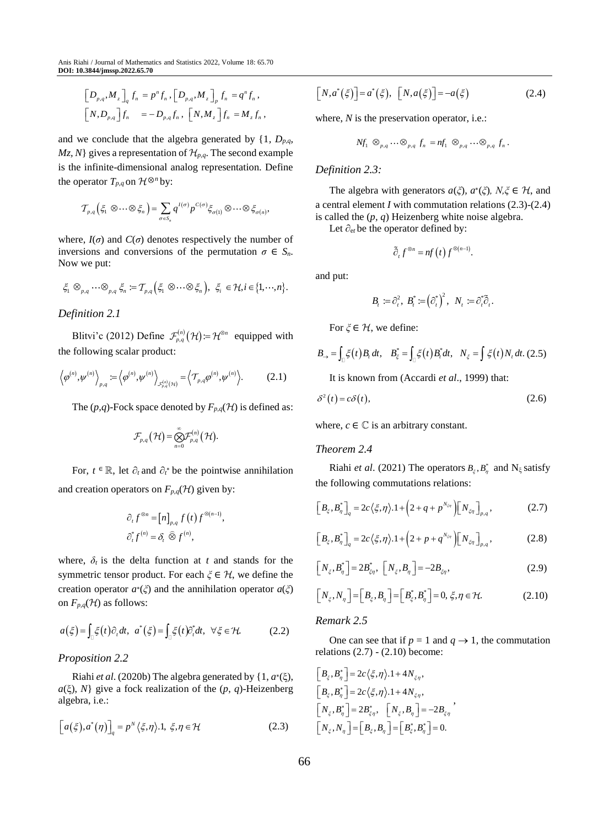$$
\begin{aligned}\n\left[D_{p,q}, M_z\right]_q f_n &= p^n f_n, \left[D_{p,q}, M_z\right]_p f_n = q^n f_n, \\
\left[N, D_{p,q}\right] f_n &= -D_{p,q} f_n, \left[N, M_z\right] f_n = M_z f_n,\n\end{aligned}
$$

and we conclude that the algebra generated by  $\{1, D_{p,q}$ *,*  $Mz$ , N gives a representation of  $\mathcal{H}_{p,q}$ . The second example is the infinite-dimensional analog representation. Define the operator  $T_{p,q}$  on  $\mathcal{H}^{\otimes n}$  by:

$$
T_{p,q}\left(\xi_1 \otimes \cdots \otimes \xi_n\right) = \sum_{\sigma \in S_n} q^{I(\sigma)} p^{C(\sigma)} \xi_{\sigma(1)} \otimes \cdots \otimes \xi_{\sigma(n)},
$$

where,  $I(\sigma)$  and  $C(\sigma)$  denotes respectively the number of inversions and conversions of the permutation  $\sigma \in S_n$ . Now we put:

$$
\xi_1\otimes_{p,q}\cdots\otimes_{p,q}\xi_n\coloneqq T_{p,q}\Big(\xi_1\otimes\cdots\otimes\xi_n\Big),\ \xi_i\in\mathcal{H}, i\in\big\{1,\cdots,n\big\}.
$$

#### *Definition 2.1*

Blitvi'c (2012) Define  $\mathcal{F}_{p,q}^{(n)}(\mathcal{H}) = \mathcal{H}^{\otimes n}$  equipped with the following scalar product:

$$
\left\langle \varphi^{(n)}, \psi^{(n)} \right\rangle_{p,q} := \left\langle \varphi^{(n)}, \psi^{(n)} \right\rangle_{\mathcal{F}_{p,q}^{(n)}(\mathcal{H})} = \left\langle \mathcal{T}_{p,q} \varphi^{(n)}, \psi^{(n)} \right\rangle. \tag{2.1}
$$

The  $(p,q)$ -Fock space denoted by  $F_{p,q}(\mathcal{H})$  is defined as:

$$
\mathcal{F}_{p,q}(\mathcal{H}) = \bigotimes_{n=0}^{\infty} \mathcal{F}_{p,q}^{(n)}(\mathcal{H}).
$$

For,  $t \in \mathbb{R}$ , let  $\partial_t$  and  $\partial_t^*$  be the pointwise annihilation and creation operators on  $F_{p,q}(\mathcal{H})$  given by:

$$
\partial_t f^{\otimes n} = [n]_{p,q} f(t) f^{\otimes (n-1)},
$$
  

$$
\partial_t^* f^{(n)} = \delta_t \widehat{\otimes} f^{(n)},
$$

where,  $\delta_t$  is the delta function at *t* and stands for the symmetric tensor product. For each  $\xi \in \mathcal{H}$ , we define the creation operator  $a^*(\xi)$  and the annihilation operator  $a(\xi)$ on  $F_{p,q}(\mathcal{H})$  as follows:

$$
a(\xi) = \int_{\mathbb{Q}} \xi(t) \partial_t dt, \quad a^*(\xi) = \int_{\mathbb{Q}} \xi(t) \partial_t^* dt, \quad \forall \xi \in \mathcal{H}.
$$
 (2.2)

# *Proposition 2.2*

Riahi *et al*. (2020b) The algebra generated by {1, *a* ∗ (ξ), *a*(ξ), *N*} give a fock realization of the (*p*, *q*)-Heizenberg algebra, i.e.:

$$
[a(\xi), a^*(\eta)]_q = p^N \langle \xi, \eta \rangle. 1, \ \xi, \eta \in \mathcal{H}
$$
 (2.3)

$$
[N, a^*(\xi)] = a^*(\xi), [N, a(\xi)] = -a(\xi)
$$
\n(2.4)

where, *N* is the preservation operator, *i.e.*:

$$
Nf_1 \otimes_{p,q} \cdots \otimes_{p,q} f_n = nf_1 \otimes_{p,q} \cdots \otimes_{p,q} f_n.
$$

#### *Definition 2.3:*

The algebra with generators  $a(\xi)$ ,  $a^*(\xi)$ ,  $N, \xi \in \mathcal{H}$ , and a central element *I* with commutation relations (2.3)-(2.4) is called the (*p, q*) Heizenberg white noise algebra.

Let  $∂<sub>et</sub>$  be the operator defined by:

$$
\tilde{\partial}_{t} f^{\otimes n} = nf(t) f^{\otimes (n-1)}.
$$

and put:

$$
B_t := \partial_t^2, B_t^* := (\partial_t^*)^2, N_t := \partial_t^* \widetilde{\partial}_t.
$$

For  $\zeta \in \mathcal{H}$ , we define:

For 
$$
\zeta \in H
$$
, we define:  
\n
$$
B_{\rightarrow} = \int_{\square} \zeta(t) B_t dt, \quad B_{\xi}^* = \int_{\square} \zeta(t) B_t^* dt, \quad N_{\xi} = \int \zeta(t) N_t dt. \tag{2.5}
$$

It is known from (Accardi *et al*., 1999) that:

$$
\delta^2(t) = c\delta(t),\tag{2.6}
$$

where,  $c \in \mathbb{C}$  is an arbitrary constant.

#### *Theorem 2.4*

Riahi *et al.* (2021) The operators  $B_{\xi}, B_{\eta}^*$  and  $N_{\xi}$  satisfy the following commutations relations:

$$
\left[B_{\xi}, B_{\eta}^{*}\right]_{q} = 2c\left\langle \xi, \eta \right\rangle \cdot 1 + \left(2 + q + p^{N_{\xi\eta}}\right)\left[N_{\xi\eta}\right]_{p,q},\tag{2.7}
$$

$$
\left[B_{\xi}, B_{\eta}^*\right]_q = 2c\left\langle \xi, \eta\right\rangle \cdot 1 + \left(2 + p + q^{N_{\xi\eta}}\right)\left[N_{\xi\eta}\right]_{p,q},\tag{2.8}
$$

$$
\left[N_{\xi},B_{\eta}^{*}\right]=2B_{\xi\eta}^{*},\ \left[N_{\xi},B_{\eta}\right]=-2B_{\xi\eta},\tag{2.9}
$$

$$
\left[N_{\xi}, N_{\eta}\right] = \left[B_{\xi}, B_{\eta}\right] = \left[B_{\xi}^{*}, B_{\eta}^{*}\right] = 0, \xi, \eta \in \mathcal{H}.
$$
\n(2.10)

#### *Remark 2.5*

One can see that if  $p = 1$  and  $q \rightarrow 1$ , the commutation relations  $(2.7)$  -  $(2.10)$  become:

$$
\label{eq:2} \begin{split} &\left[B_{\boldsymbol{\xi}},B_{\boldsymbol{\eta}}^*\right]=2c\big\langle \boldsymbol{\xi},\boldsymbol{\eta}\big\rangle.1+4N_{\boldsymbol{\xi}\boldsymbol{\eta}},\\ &\left[B_{\boldsymbol{\xi}},B_{\boldsymbol{\eta}}^*\right]=2c\big\langle \boldsymbol{\xi},\boldsymbol{\eta}\big\rangle.1+4N_{\boldsymbol{\xi}\boldsymbol{\eta}},\\ &\left[N_{\boldsymbol{\xi}},B_{\boldsymbol{\eta}}^*\right]=2B_{\boldsymbol{\xi}\boldsymbol{\eta}}^*,\quad \left[N_{\boldsymbol{\xi}},B_{\boldsymbol{\eta}}\right]=-2B_{\boldsymbol{\xi}\boldsymbol{\eta}}^*,\\ &\left[N_{\boldsymbol{\xi}},N_{\boldsymbol{\eta}}\right]=\left[B_{\boldsymbol{\xi}},B_{\boldsymbol{\eta}}\right]=\left[B_{\boldsymbol{\xi}}^*,B_{\boldsymbol{\eta}}^*\right]=0. \end{split}
$$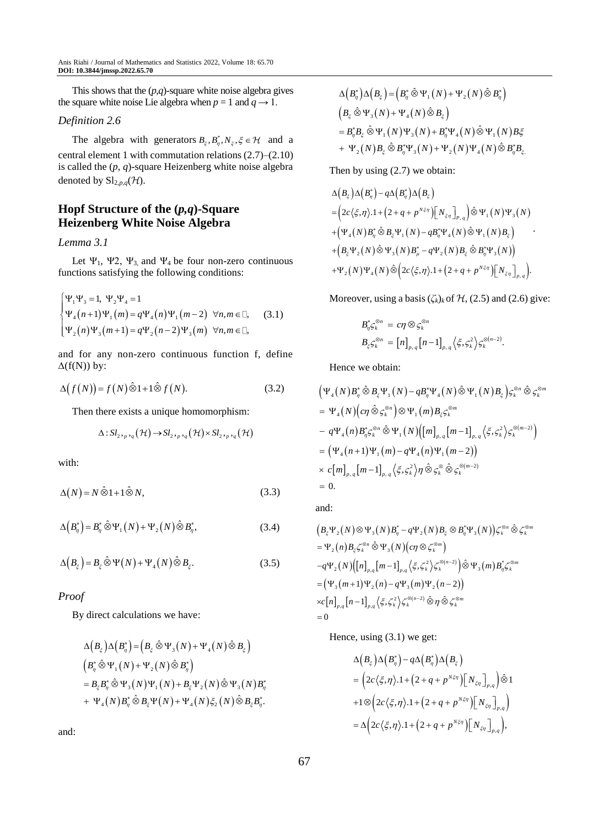This shows that the (*p,q*)-square white noise algebra gives the square white noise Lie algebra when  $p = 1$  and  $q \rightarrow 1$ .

# *Definition 2.6*

The algebra with generators  $B_{\xi}, B_{\eta}^*, N_{\xi}, \xi \in \mathcal{H}$  and a central element 1 with commutation relations (2.7)–(2.10) is called the (*p*, *q*)-square Heizenberg white noise algebra denoted by  $\mathrm{Sl}_{2,p,q}(\mathcal{H})$ .

# **Hopf Structure of the (***p,q***)-Square Heizenberg White Noise Algebra**

#### *Lemma 3.1*

Let  $\Psi_1$ ,  $\Psi_2$ ,  $\Psi_3$ , and  $\Psi_4$  be four non-zero continuous functions satisfying the following conditions:

$$
\begin{cases} \Psi_1 \Psi_3 = 1, \ \Psi_2 \Psi_4 = 1 \\ \Psi_4(n+1) \Psi_1(m) = q \Psi_4(n) \Psi_1(m-2) \ \forall n, m \in \mathbb{Z}, \\ \Psi_2(n) \Psi_3(m+1) = q \Psi_2(n-2) \Psi_3(m) \ \forall n, m \in \mathbb{Z}, \end{cases}
$$
 (3.1)

and for any non-zero continuous function f, define  $\Delta(f(N))$  by:

$$
\Delta(f(N)) = f(N)\hat{\otimes}1 + 1\hat{\otimes}f(N). \tag{3.2}
$$

Then there exists a unique homomorphism:

$$
\Delta: Sl_{2,p,q}(\mathcal{H}) \to Sl_{2,p,q}(\mathcal{H}) \times Sl_{2,p,q}(\mathcal{H})
$$

with:

$$
\Delta(N) = N \hat{\otimes} 1 + 1 \hat{\otimes} N, \tag{3.3}
$$

$$
\Delta\left(B_{\eta}^*\right) = B_{\eta}^* \hat{\otimes} \Psi_1\left(N\right) + \Psi_2\left(N\right) \hat{\otimes} B_{\eta}^*,\tag{3.4}
$$

$$
\Delta\left(B_{\xi}\right) = B_{\xi} \hat{\otimes} \Psi\left(N\right) + \Psi_{4}\left(N\right) \hat{\otimes} B_{\xi}.\tag{3.5}
$$

## *Proof*

By direct calculations we have:

$$
\Delta\left(B_{\xi}\right)\Delta\left(B_{\eta}^{*}\right) = \left(B_{\xi}\hat{\otimes}\Psi_{3}(N) + \Psi_{4}(N)\hat{\otimes}B_{\xi}\right)
$$
\n
$$
\left(B_{\eta}^{*}\hat{\otimes}\Psi_{1}(N) + \Psi_{2}(N)\hat{\otimes}B_{\eta}^{*}\right)
$$
\n
$$
= B_{\xi}B_{\eta}^{*}\hat{\otimes}\Psi_{3}(N)\Psi_{1}(N) + B_{\xi}\Psi_{2}(N)\hat{\otimes}\Psi_{3}(N)B_{\eta}^{*}
$$
\n
$$
+ \Psi_{4}(N)B_{\eta}^{*}\hat{\otimes}B_{\xi}\Psi(N) + \Psi_{4}(N)\xi_{2}(N)\hat{\otimes}B_{\xi}B_{\eta}^{*}.
$$

and:

$$
\Delta (B_{\eta}^{*}) \Delta (B_{\xi}) = (B_{\eta}^{*} \hat{\otimes} \Psi_{1}(N) + \Psi_{2}(N) \hat{\otimes} B_{\eta}^{*})
$$
\n
$$
(B_{\xi} \hat{\otimes} \Psi_{3}(N) + \Psi_{4}(N) \hat{\otimes} B_{\xi})
$$
\n
$$
= B_{\eta}^{*} B_{\xi} \hat{\otimes} \Psi_{1}(N) \Psi_{3}(N) + B_{\eta}^{*} \Psi_{4}(N) \hat{\otimes} \Psi_{1}(N) B_{\xi}^{*}
$$
\n
$$
+ \Psi_{2}(N) B_{\xi} \hat{\otimes} B_{\eta}^{*} \Psi_{3}(N) + \Psi_{2}(N) \Psi_{4}(N) \hat{\otimes} B_{\eta}^{*} B_{\xi}.
$$

Then by using (2.7) we obtain:

$$
\Delta(B_{\xi})\Delta(B_{\eta}^{*})-q\Delta(B_{\eta}^{*})\Delta(B_{\xi})
$$
\n
$$
=\left(2c\langle\xi,\eta\rangle.1+\left(2+q+p^{N\xi\eta}\right)\left[N_{\xi\eta}\right]_{P_{\xi}\eta}\right)\hat{\otimes}\Psi_{1}(N)\Psi_{3}(N)
$$
\n
$$
+\left(\Psi_{4}(N)B_{\eta}^{*}\hat{\otimes}B_{\xi}\Psi_{1}(N)-qB_{\eta}^{*}\Psi_{4}(N)\hat{\otimes}\Psi_{1}(N)B_{\xi}\right)
$$
\n
$$
+\left(B_{\xi}\Psi_{2}(N)\hat{\otimes}\Psi_{3}(N)B_{\mu}^{*}-q\Psi_{2}(N)B_{\xi}\hat{\otimes}B_{\eta}^{*}\Psi_{3}(N)\right)
$$
\n
$$
+\Psi_{2}(N)\Psi_{4}(N)\hat{\otimes}\left(2c\langle\xi,\eta\rangle.1+\left(2+q+p^{N\xi\eta}\right)\left[N_{\xi\eta}\right]_{P_{\xi}\eta}\right).
$$

Moreover, using a basis  $(\zeta_k)_k$  of  $\mathcal{H}$ , (2.5) and (2.6) give:

$$
\begin{aligned} B_{\eta}^* \zeta_k^{\otimes n} &= c \eta \otimes \zeta_k^{\otimes n} \\ B_{\xi} \zeta_k^{\otimes n} &= \left[ n \right]_{p,q} \left[ n-1 \right]_{p,q} \left\langle \xi, \zeta_k^2 \right\rangle \zeta_k^{\otimes (n-2)} .\end{aligned}
$$

Hence we obtain:

$$
\begin{split}\n&\left(\Psi_{4}(N)B_{\eta}^{*}\hat{\otimes}B_{\xi}\Psi_{1}(N)-qB_{\eta}^{*}\Psi_{4}(N)\hat{\otimes}\Psi_{1}(N)B_{\xi}\right)\varsigma_{k}^{\otimes n}\hat{\otimes}\varsigma_{k}^{\otimes m} \\
&= \Psi_{4}(N)\Big(c\eta\,\hat{\otimes}\,\varsigma_{k}^{\otimes n}\Big)\otimes\Psi_{1}(m)B_{\xi}\varsigma_{k}^{\otimes m} \\
&\quad-q\Psi_{4}(n)B_{\eta}^{*}\varsigma_{k}^{\otimes n}\hat{\otimes}\Psi_{1}(N)\Big([m]_{p,q}\big[m-1\big]_{p,q}\big\langle\xi,\varsigma_{k}^{2}\big\rangle\varsigma_{k}^{\otimes (m-2)}\Big) \\
&= \Big(\Psi_{4}(n+1)\Psi_{1}(m)-q\Psi_{4}(n)\Psi_{1}(m-2)\Big) \\
&\quad\times c\big[m\big]_{p,q}\big[m-1\big]_{p,q}\big\langle\xi,\varsigma_{k}^{2}\big\rangle\eta\,\hat{\otimes}\,\varsigma_{k}^{\otimes}\hat{\otimes}\,\varsigma_{k}^{\otimes (m-2)} \\
&= 0.\n\end{split}
$$

and:

$$
(B_{\xi}\Psi_{2}(N)\otimes\Psi_{3}(N)B_{\eta}^{*}-q\Psi_{2}(N)B_{\xi}\otimes B_{\eta}^{*}\Psi_{3}(N))\zeta_{k}^{\otimes n}\hat{\otimes}\zeta_{k}^{\otimes m}
$$
  
\n
$$
=\Psi_{2}(n)B_{\xi}\zeta_{k}^{\otimes n}\hat{\otimes}\Psi_{3}(N)(c\eta\otimes\zeta_{k}^{\otimes m})
$$
  
\n
$$
-q\Psi_{2}(N)[[n]_{p,q}[m-1]_{p,q}\langle\xi,\zeta_{k}^{2}\rangle\zeta_{k}^{\otimes(n-2)}]\hat{\otimes}\Psi_{3}(m)B_{\eta}^{*}\zeta_{k}^{\otimes m}
$$
  
\n
$$
=(\Psi_{3}(m+1)\Psi_{2}(n)-q\Psi_{3}(m)\Psi_{2}(n-2))
$$
  
\n
$$
xc[n]_{p,q}[n-1]_{p,q}\langle\xi,\zeta_{k}^{2}\rangle\zeta_{k}^{\otimes(n-2)}\hat{\otimes}\eta\hat{\otimes}\zeta_{k}^{\otimes m}
$$
  
\n=0

Hence, using (3.1) we get:

$$
\begin{aligned}\n&\Delta \Big(B_{\xi}\Big) \Delta \Big(B_{\eta}^{*}\Big) - q \Delta \Big(B_{\eta}^{*}\Big) \Delta \Big(B_{\xi}\Big) \\
&= \Big(2c\big\langle \xi, \eta \big\rangle. 1 + \Big(2 + q + p^{N\xi\eta}\Big) \Big[N_{\xi\eta}\Big]_{p,q}\Big) \hat{\otimes} 1 \\
&+ 1 \otimes \Big(2c\big\langle \xi, \eta \big\rangle. 1 + \Big(2 + q + p^{N\xi\eta}\Big) \Big[N_{\xi\eta}\Big]_{p,q}\Big) \\
&= \Delta \Big(2c\big\langle \xi, \eta \big\rangle. 1 + \Big(2 + q + p^{N\xi\eta}\Big) \Big[N_{\xi\eta}\Big]_{p,q}\Big),\n\end{aligned}
$$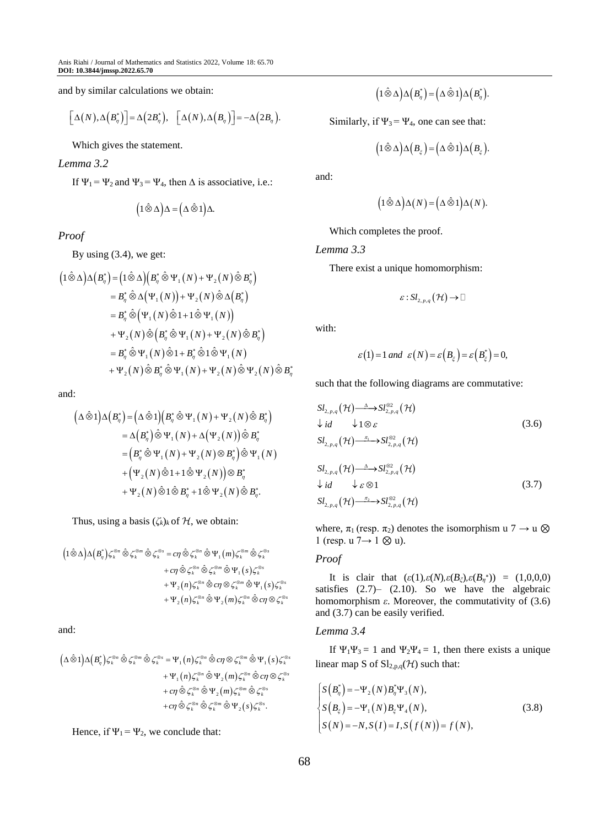and by similar calculations we obtain:

$$
\big[\Delta(N),\Delta\big(B_{\eta}^*\big)\big]=\Delta\big(2B_{\eta}^*\big),\quad \big[\Delta(N),\Delta\big(B_{\eta}\big)\big]=-\Delta\big(2B_{\eta}\big).
$$

Which gives the statement.

#### *Lemma 3.2*

If  $\Psi_1 = \Psi_2$  and  $\Psi_3 = \Psi_4$ , then  $\Delta$  is associative, i.e.:

$$
(1\,\hat{\otimes}\,\Delta)\Delta = (\Delta\,\hat{\otimes}\,1)\Delta.
$$

*Proof*

By using (3.4), we get:

$$
\begin{aligned}\n\left(1\hat{\otimes}\Delta\right)\Delta\left(B_{\eta}^{*}\right) &= \left(1\hat{\otimes}\Delta\right)\left(B_{\eta}^{*}\hat{\otimes}\Psi_{1}\left(N\right) + \Psi_{2}\left(N\right)\hat{\otimes}B_{\eta}^{*}\right) \\
&= B_{\eta}^{*}\hat{\otimes}\Delta\left(\Psi_{1}\left(N\right)\right) + \Psi_{2}\left(N\right)\hat{\otimes}\Delta\left(B_{\eta}^{*}\right) \\
&= B_{\eta}^{*}\hat{\otimes}\left(\Psi_{1}\left(N\right)\hat{\otimes}1 + 1\hat{\otimes}\Psi_{1}\left(N\right)\right) \\
&\quad + \Psi_{2}\left(N\right)\hat{\otimes}\left(B_{\eta}^{*}\hat{\otimes}\Psi_{1}\left(N\right) + \Psi_{2}\left(N\right)\hat{\otimes}B_{\eta}^{*}\right) \\
&= B_{\eta}^{*}\hat{\otimes}\Psi_{1}\left(N\right)\hat{\otimes}1 + B_{\eta}^{*}\hat{\otimes}1\hat{\otimes}\Psi_{1}\left(N\right) \\
&\quad + \Psi_{2}\left(N\right)\hat{\otimes}B_{\eta}^{*}\hat{\otimes}\Psi_{1}\left(N\right) + \Psi_{2}\left(N\right)\hat{\otimes}\Psi_{2}\left(N\right)\hat{\otimes}B_{\eta}^{*}\n\end{aligned}
$$

and:

$$
(\Delta \hat{\otimes} 1) \Delta (B_{\eta}^{*}) = (\Delta \hat{\otimes} 1) (B_{\eta}^{*} \hat{\otimes} \Psi_{1}(N) + \Psi_{2}(N) \hat{\otimes} B_{\eta}^{*})
$$
  
\n
$$
= \Delta (B_{\eta}^{*}) \hat{\otimes} \Psi_{1}(N) + \Delta (\Psi_{2}(N)) \hat{\otimes} B_{\eta}^{*}
$$
  
\n
$$
= (B_{\eta}^{*} \hat{\otimes} \Psi_{1}(N) + \Psi_{2}(N) \otimes B_{\eta}^{*}) \hat{\otimes} \Psi_{1}(N)
$$
  
\n
$$
+ (\Psi_{2}(N) \hat{\otimes} 1 + 1 \hat{\otimes} \Psi_{2}(N)) \otimes B_{\eta}^{*}
$$
  
\n
$$
+ \Psi_{2}(N) \hat{\otimes} 1 \hat{\otimes} B_{\eta}^{*} + 1 \hat{\otimes} \Psi_{2}(N) \hat{\otimes} B_{\eta}^{*}.
$$

Thus, using a basis  $(\zeta_k)_k$  of  $\mathcal H$ , we obtain:

$$
\begin{aligned}\Big(1\hat{\otimes}\Delta\Big)\Delta\Big(B^{*}_{\eta}\Big)\zeta^{\otimes n}_{k}\,\hat{\otimes}\, \zeta^{\otimes m}_{k}\,\hat{\otimes}\, \zeta^{\otimes s}_{k} =c\eta\,\hat{\otimes}\, \zeta^{\otimes n}_{k}\,\hat{\otimes}\, \Psi_{1}\Big(m\Big)\zeta^{\otimes m}_{k}\,\hat{\otimes}\, \zeta^{\otimes s}_{k}\\ &\quad +c\eta\,\hat{\otimes}\, \zeta^{\otimes n}_{k}\,\hat{\otimes}\, \zeta^{\otimes m}_{k}\,\hat{\otimes}\, \Psi_{1}\Big(s\Big)\zeta^{\otimes s}_{k}\\ &\quad +\Psi_{2}\Big(n\Big)\zeta^{\otimes n}_{k}\,\hat{\otimes}\,c\eta\otimes \zeta^{\otimes m}_{k}\,\hat{\otimes}\, \Psi_{1}\Big(s\Big)\zeta^{\otimes s}_{k}\\ &\quad +\Psi_{2}\Big(n\Big)\zeta^{\otimes n}_{k}\,\hat{\otimes}\, \Psi_{2}\Big(m\Big)\zeta^{\otimes n}_{k}\,\hat{\otimes}\,c\eta\otimes \zeta^{\otimes s}_{k}\end{aligned}
$$

and:

$$
\begin{aligned}\n\left(\Delta\,\hat{\otimes}\,1\right)\Delta\left(B_{\eta}^{*}\right)\zeta_{k}^{\otimes n}\,\hat{\otimes}\, \zeta_{k}^{\otimes m}\,\hat{\otimes}\, \zeta_{k}^{\otimes s} &=\Psi_{1}\left(n\right)\zeta_{k}^{\otimes n}\,\hat{\otimes}\,c\eta\otimes\zeta_{k}^{\otimes m}\,\hat{\otimes}\,\Psi_{1}\left(s\right)\zeta_{k}^{\otimes s}\right.\\&\qquad\qquad\left.+ \Psi_{1}\left(n\right)\zeta_{k}^{\otimes n}\,\hat{\otimes}\, \Psi_{2}\left(m\right)\zeta_{k}^{\otimes n}\,\hat{\otimes}\,c\eta\otimes\zeta_{k}^{\otimes s}\right.\\&\qquad\qquad\left.+ c\eta\,\hat{\otimes}\, \zeta_{k}^{\otimes n}\,\hat{\otimes}\, \Psi_{2}\left(m\right)\zeta_{k}^{\otimes m}\,\hat{\otimes}\, \zeta_{k}^{\otimes s}\right.\\&\qquad\qquad\left.+ c\eta\,\hat{\otimes}\, \zeta_{k}^{\otimes m}\,\hat{\otimes}\, \zeta_{k}^{\otimes m}\,\hat{\otimes}\, \Psi_{2}\left(s\right)\zeta_{k}^{\otimes s}.\n\end{aligned}
$$

Hence, if  $\Psi_1 = \Psi_2$ , we conclude that:

$$
(1\,\hat{\otimes}\,\Delta)\Delta\left(B_{\eta}^*\right)=\big(\Delta\,\hat{\otimes}\,1\big)\Delta\left(B_{\eta}^*\right).
$$

Similarly, if  $\Psi_3 = \Psi_4$ , one can see that:

$$
(1\,\hat{\otimes}\,\Delta)\Delta(B_{\xi}) = (\Delta\,\hat{\otimes}\,1)\Delta(B_{\xi}).
$$

and:

$$
(1\hat{\otimes}\Delta)\Delta(N) = (\Delta\hat{\otimes}1)\Delta(N).
$$

Which completes the proof.

*Lemma 3.3*

There exist a unique homomorphism:

$$
\varepsilon\!:\!Sl_{2,p,q}\!\left(\mathcal{H}\right)\!\to\!\mathbb{D}
$$

with:

$$
\varepsilon(1) = 1
$$
 and  $\varepsilon(N) = \varepsilon(B_{\xi}) = \varepsilon(B_{\xi}^*) = 0$ ,

such that the following diagrams are commutative:

$$
SI_{2,p,q}(\mathcal{H}) \xrightarrow{\Delta} SI_{2,p,q}^{\otimes 2}(\mathcal{H})
$$
  
\n
$$
\downarrow id \qquad \downarrow 1 \otimes \varepsilon
$$
  
\n
$$
SI_{2,p,q}(\mathcal{H}) \xrightarrow{\pi} SI_{2,p,q}^{\otimes 2}(\mathcal{H})
$$
  
\n
$$
SI_{2,p,q}(\mathcal{H}) \xrightarrow{\Delta} SI_{2,p,q}^{\otimes 2}(\mathcal{H})
$$
  
\n
$$
\downarrow id \qquad \downarrow \varepsilon \otimes 1
$$
  
\n
$$
SI_{2,p,q}(\mathcal{H}) \xrightarrow{\pi_2} SI_{2,p,q}^{\otimes 2}(\mathcal{H})
$$
  
\n
$$
(3.7)
$$

where,  $\pi_1$  (resp.  $\pi_2$ ) denotes the isomorphism u 7  $\rightarrow$  u  $\otimes$ 1 (resp. u 7→ 1 ⊗ u).

#### *Proof*

It is clair that  $(\varepsilon(1), \varepsilon(N), \varepsilon(B_{\xi}), \varepsilon(B_{\eta}^{*})) = (1, 0, 0, 0)$ satisfies (2.7)– (2.10). So we have the algebraic homomorphism *ε*. Moreover, the commutativity of (3.6) and (3.7) can be easily verified.

### *Lemma 3.4*

If  $\Psi_1\Psi_3 = 1$  and  $\Psi_2\Psi_4 = 1$ , then there exists a unique linear map S of  $Sl_{2,p,q}(\mathcal{H})$  such that:

$$
\begin{cases}\nS(B_{\eta}^{*}) = -\Psi_{2}(N)B_{\eta}^{*}\Psi_{3}(N), \\
S(B_{\xi}) = -\Psi_{1}(N)B_{\xi}\Psi_{4}(N), \\
S(N) = -N, S(I) = I, S(f(N)) = f(N),\n\end{cases}
$$
\n(3.8)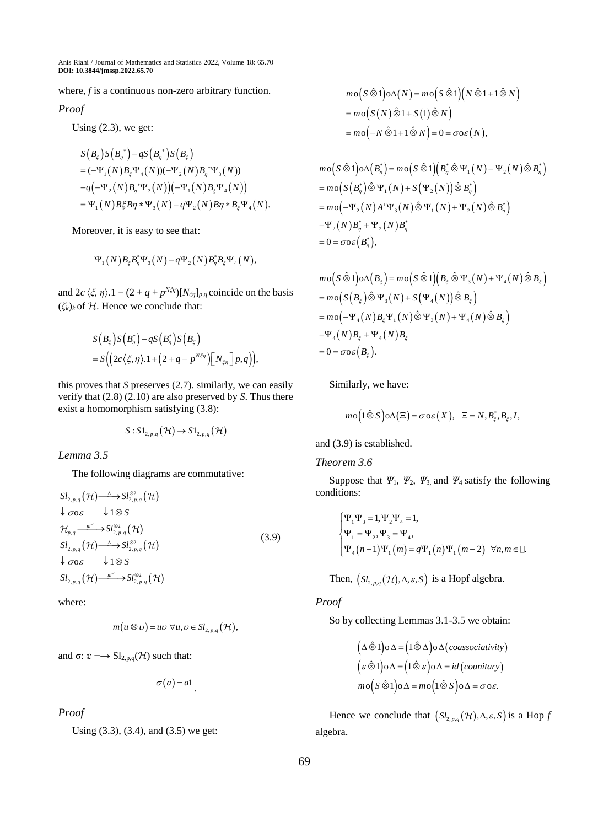where, *f* is a continuous non-zero arbitrary function.

#### *Proof*

Using  $(2.3)$ , we get:

$$
S(B_{\xi})S(B_{\eta}^{*})-qS(B_{\eta}^{*})S(B_{\xi})
$$
  
= (-\Psi\_{1}(N)B\_{\xi}\Psi\_{4}(N))(-\Psi\_{2}(N)B\_{\eta}^{\*}\Psi\_{3}(N))  
-q(-\Psi\_{2}(N)B\_{\eta}^{\*}\Psi\_{3}(N))(-\Psi\_{1}(N)B\_{\xi}\Psi\_{4}(N))  
= \Psi\_{1}(N)B\_{\xi}B\eta \* \Psi\_{3}(N)-q\Psi\_{2}(N)B\eta \* B\_{\xi}\Psi\_{4}(N).

Moreover, it is easy to see that:

$$
\Psi_1(N) B_{\xi} B_{\eta}^* \Psi_3(N) - q \Psi_2(N) B_{\eta}^* B_{\xi} \Psi_4(N),
$$

and  $2c \langle \xi, \eta \rangle$ .  $1 + (2 + q + p^{N\xi\eta})[N_{\xi\eta}]_{p,q}$  coincide on the basis  $(\zeta_k)_k$  of  $\mathcal H$ . Hence we conclude that:

$$
S\left(B_{\xi}\right)S\left(B_{\eta}^{*}\right)-qS\left(B_{\eta}^{*}\right)S\left(B_{\xi}\right)
$$
  
= 
$$
S\Big(\Big(2c\big\langle \xi,\eta\big\rangle.1+\Big(2+q+p^{N\xi\eta}\Big)\Big[N_{\xi\eta}\Big]p,q\Big)\Big),
$$

this proves that *S* preserves (2.7). similarly, we can easily verify that (2.8) (2.10) are also preserved by *S*. Thus there exist a homomorphism satisfying (3.8):

$$
S: \mathrm{SL}_{2,p,q}(\mathcal{H}) \to \mathrm{SL}_{2,p,q}(\mathcal{H})
$$

*Lemma 3.5*

The following diagrams are commutative:

$$
SI_{2,p,q}(\mathcal{H}) \xrightarrow{\Delta} SI_{2,p,q}^{\otimes 2}(\mathcal{H})
$$
  
\n
$$
\downarrow \sigma o \varepsilon \qquad \downarrow 1 \otimes S
$$
  
\n
$$
\mathcal{H}_{p,q} \xrightarrow{m^{-1}} SI_{2,p,q}^{\otimes 2}(\mathcal{H})
$$
  
\n
$$
SI_{2,p,q}(\mathcal{H}) \xrightarrow{\Delta} SI_{2,p,q}^{\otimes 2}(\mathcal{H})
$$
  
\n
$$
\downarrow \sigma o \varepsilon \qquad \downarrow 1 \otimes S
$$
  
\n
$$
SI_{2,p,q}(\mathcal{H}) \xrightarrow{m^{-1}} SI_{2,p,q}^{\otimes 2}(\mathcal{H})
$$
  
\n(3.9)

where:

$$
m(u\otimes v)=uv\ \forall u,v\in Sl_{2,p,q}(\mathcal{H}),
$$

and  $\sigma: \mathbb{C} \longrightarrow \mathrm{Sl}_{2,p,q}(\mathcal{H})$  such that:

$$
\sigma(a) = a1
$$

# *Proof*

Using (3.3), (3.4), and (3.5) we get:

$$
m \circ (S \hat{\otimes} 1) \circ \Delta(N) = m \circ (S \hat{\otimes} 1) (N \hat{\otimes} 1 + 1 \hat{\otimes} N)
$$
  
= 
$$
m \circ (S(N) \hat{\otimes} 1 + S(1) \hat{\otimes} N)
$$
  
= 
$$
m \circ (-N \hat{\otimes} 1 + 1 \hat{\otimes} N) = 0 = \sigma \circ \varepsilon(N),
$$

$$
m \circ (S \hat{\otimes} 1) \circ \Delta (B_{\eta}^{*}) = m \circ (S \hat{\otimes} 1) (B_{\eta}^{*} \hat{\otimes} \Psi_{1}(N) + \Psi_{2}(N) \hat{\otimes} B_{\eta}^{*})
$$
  
= 
$$
m \circ (S (B_{\eta}^{*}) \hat{\otimes} \Psi_{1}(N) + S (\Psi_{2}(N)) \hat{\otimes} B_{\eta}^{*})
$$
  
= 
$$
m \circ (-\Psi_{2}(N) A^{*} \Psi_{3}(N) \hat{\otimes} \Psi_{1}(N) + \Psi_{2}(N) \hat{\otimes} B_{\eta}^{*})
$$
  
-
$$
\Psi_{2}(N) B_{\eta}^{*} + \Psi_{2}(N) B_{\eta}^{*}
$$
  
= 
$$
0 = \sigma \circ \varepsilon (B_{\eta}^{*}),
$$

$$
m \circ (S \hat{\otimes} 1) \circ \Delta (B_{\xi}) = m \circ (S \hat{\otimes} 1) (B_{\xi} \hat{\otimes} \Psi_3(N) + \Psi_4(N) \hat{\otimes} B_{\xi})
$$
  
= 
$$
m \circ (S (B_{\xi}) \hat{\otimes} \Psi_3(N) + S (\Psi_4(N)) \hat{\otimes} B_{\xi})
$$
  
= 
$$
m \circ (-\Psi_4(N) B_{\xi} \Psi_1(N) \hat{\otimes} \Psi_3(N) + \Psi_4(N) \hat{\otimes} B_{\xi})
$$
  
-
$$
\Psi_4(N) B_{\xi} + \Psi_4(N) B_{\xi}
$$
  
= 
$$
0 = \sigma \circ \varepsilon (B_{\xi}).
$$

Similarly, we have:

$$
m \mathrm{o} \Big( 1 \hat{\otimes} S \Big) \mathrm{o} \Delta \big( \Xi \big) = \sigma \mathrm{o} \varepsilon \big( X \big), \ \ \Xi = N, B_{\xi}^*, B_{\xi}, I,
$$

and (3.9) is established.

#### *Theorem 3.6*

Suppose that  $\Psi_1$ ,  $\Psi_2$ ,  $\Psi_3$ , and  $\Psi_4$  satisfy the following conditions:

$$
\begin{cases} \Psi_1 \Psi_3 = 1, \Psi_2 \Psi_4 = 1, \\ \Psi_1 = \Psi_2, \Psi_3 = \Psi_4, \\ \Psi_4 (n+1) \Psi_1 (m) = q \Psi_1 (n) \Psi_1 (m-2) \ \forall n, m \in \square. \end{cases}
$$

Then,  $(Sl_{2,p,q}(\mathcal{H}), \Delta, \varepsilon, S)$  is a Hopf algebra.

# *Proof*

So by collecting Lemmas 3.1-3.5 we obtain:

$$
(\Delta \hat{\otimes} 1) \circ \Delta = (1 \hat{\otimes} \Delta) \circ \Delta (coassociativity)
$$
  

$$
(\varepsilon \hat{\otimes} 1) \circ \Delta = (1 \hat{\otimes} \varepsilon) \circ \Delta = id (countary)
$$
  

$$
mo(S \hat{\otimes} 1) \circ \Delta = mo(1 \hat{\otimes} S) \circ \Delta = \sigma \circ \varepsilon.
$$

Hence we conclude that  $(Sl_{2,p,q}(\mathcal{H}), \Delta, \varepsilon, S)$  is a Hop *f* algebra.